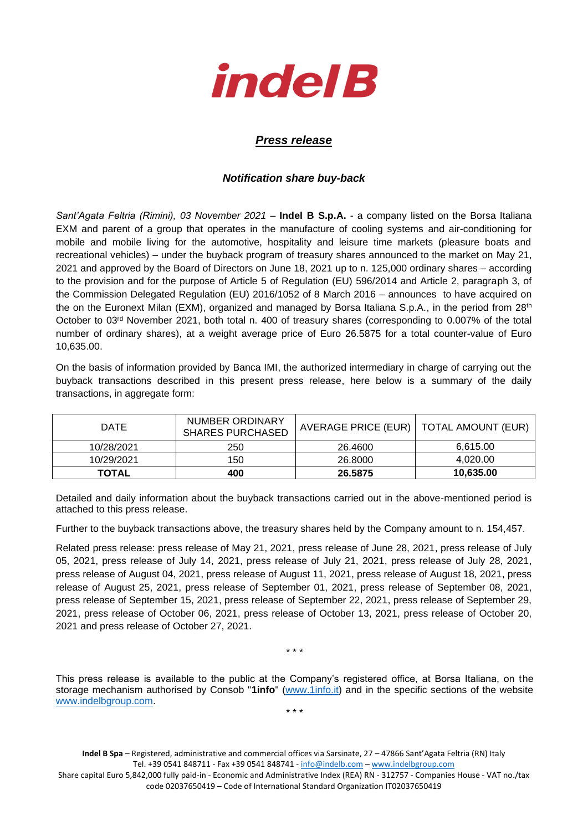

## *Press release*

## *Notification share buy-back*

*Sant'Agata Feltria (Rimini), 03 November 2021* – **Indel B S.p.A.** - a company listed on the Borsa Italiana EXM and parent of a group that operates in the manufacture of cooling systems and air-conditioning for mobile and mobile living for the automotive, hospitality and leisure time markets (pleasure boats and recreational vehicles) – under the buyback program of treasury shares announced to the market on May 21, 2021 and approved by the Board of Directors on June 18, 2021 up to n. 125,000 ordinary shares – according to the provision and for the purpose of Article 5 of Regulation (EU) 596/2014 and Article 2, paragraph 3, of the Commission Delegated Regulation (EU) 2016/1052 of 8 March 2016 – announces to have acquired on the on the Euronext Milan (EXM), organized and managed by Borsa Italiana S.p.A., in the period from 28<sup>th</sup> October to 03rd November 2021, both total n. 400 of treasury shares (corresponding to 0.007% of the total number of ordinary shares), at a weight average price of Euro 26.5875 for a total counter-value of Euro 10,635.00.

On the basis of information provided by Banca IMI, the authorized intermediary in charge of carrying out the buyback transactions described in this present press release, here below is a summary of the daily transactions, in aggregate form:

| <b>DATE</b>  | NUMBER ORDINARY<br><b>SHARES PURCHASED</b> | AVERAGE PRICE (EUR)   TOTAL AMOUNT (EUR) |           |
|--------------|--------------------------------------------|------------------------------------------|-----------|
| 10/28/2021   | 250                                        | 26,4600                                  | 6,615.00  |
| 10/29/2021   | 150                                        | 26.8000                                  | 4,020.00  |
| <b>TOTAL</b> | 400                                        | 26.5875                                  | 10,635.00 |

Detailed and daily information about the buyback transactions carried out in the above-mentioned period is attached to this press release.

Further to the buyback transactions above, the treasury shares held by the Company amount to n. 154,457.

Related press release: press release of May 21, 2021, press release of June 28, 2021, press release of July 05, 2021, press release of July 14, 2021, press release of July 21, 2021, press release of July 28, 2021, press release of August 04, 2021, press release of August 11, 2021, press release of August 18, 2021, press release of August 25, 2021, press release of September 01, 2021, press release of September 08, 2021, press release of September 15, 2021, press release of September 22, 2021, press release of September 29, 2021, press release of October 06, 2021, press release of October 13, 2021, press release of October 20, 2021 and press release of October 27, 2021.

\* \* \*

This press release is available to the public at the Company's registered office, at Borsa Italiana, on the storage mechanism authorised by Consob "**1info**" [\(www.1info.it\)](file:///C:/Users/ddelietovollaro/AppData/Local/Microsoft/Windows/INetCache/Content.Outlook/T87B94UR/www.1info.it) and in the specific sections of the website [www.indelbgroup.com.](http://www.indelbgroup.com/) \* \* \*

**Indel B Spa** – Registered, administrative and commercial offices via Sarsinate, 27 – 47866 Sant'Agata Feltria (RN) Italy Tel. +39 0541 848711 - Fax +39 0541 848741 - [info@indelb.com](mailto:info@indelb.com) – [www.indelbgroup.com](http://www.indelbgroup.com/)

Share capital Euro 5,842,000 fully paid-in - Economic and Administrative Index (REA) RN - 312757 - Companies House - VAT no./tax code 02037650419 – Code of International Standard Organization IT02037650419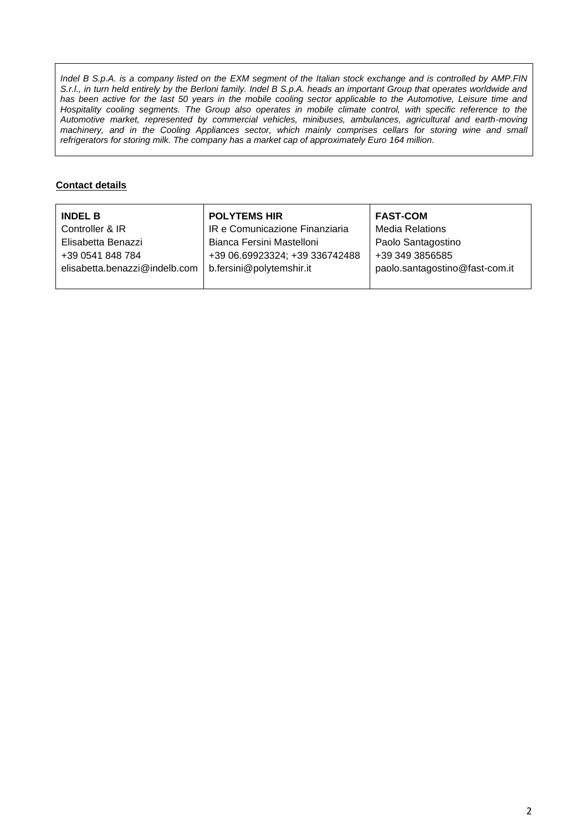*Indel B S.p.A. is a company listed on the EXM segment of the Italian stock exchange and is controlled by AMP.FIN S.r.l., in turn held entirely by the Berloni family. Indel B S.p.A. heads an important Group that operates worldwide and* has been active for the last 50 years in the mobile cooling sector applicable to the Automotive, Leisure time and Hospitality cooling segments. The Group also operates in mobile climate control, with specific reference to the *Automotive market, represented by commercial vehicles, minibuses, ambulances, agricultural and earth-moving machinery, and in the Cooling Appliances sector, which mainly comprises cellars for storing wine and small refrigerators for storing milk. The company has a market cap of approximately Euro 164 million.*

## **Contact details**

| <b>INDEL B</b>                | <b>POLYTEMS HIR</b>            | <b>FAST-COM</b>                |
|-------------------------------|--------------------------------|--------------------------------|
| Controller & IR               | IR e Comunicazione Finanziaria | <b>Media Relations</b>         |
| Elisabetta Benazzi            | Bianca Fersini Mastelloni      | Paolo Santagostino             |
| +39 0541 848 784              | +39 06.69923324; +39 336742488 | +39 349 3856585                |
| elisabetta.benazzi@indelb.com | b.fersini@polytemshir.it       | paolo.santagostino@fast-com.it |
|                               |                                |                                |